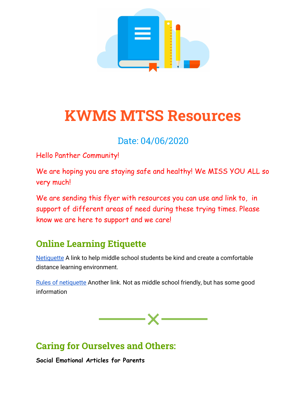

# **KWMS MTSS Resources**

# Date: 04/06/2020

Hello Panther Community!

We are hoping you are staying safe and healthy! We MISS YOU ALL so very much!

We are sending this flyer with resources you can use and link to, in support of different areas of need during these trying times. Please know we are here to support and we care!

# **Online Learning Etiquette**

[Netiquette](https://prezi.com/22d2l-tvray6/netiquette-a-lesson-for-middle-school-students/) A link to help middle school students be kind and create a comfortable distance learning environment.

[Rules of netiquette](https://coursedesign.colostate.edu/obj/corerulesnet.html) Another link. Not as middle school friendly, but has some good information



## **Caring for Ourselves and Others:**

**Social Emotional Articles for Parents**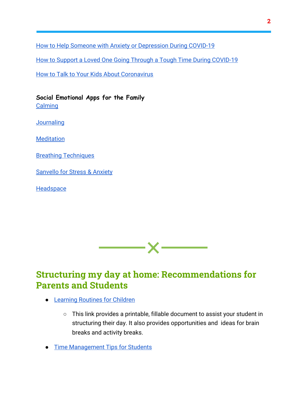[How to Help Someone with Anxiety or Depression During COVID-19](https://go.thenationalcouncil.org/UfNk01F0RJ0Mfd036b000ga)

[How to Support a Loved One Going Through a Tough Time During COVID-19](https://go.thenationalcouncil.org/uhb000aJ1R0f0O03dkfMF60)

**[How to Talk to Your Kids About Coronavirus](https://www.pbs.org/parents/thrive/how-to-talk-to-your-kids-about-coronavirus?fbclid=IwAR26F2Tmdj3pJN3iv6yAtRyTQoC-AH0P3H1D5QgEqQneurbBPnE_L6Omv30#.XmqzisKG7LA.facebook)** 

**Social Emotional Apps for the Family [Calming](https://www.calm.com/blog/take-a-deep-breath?utm_campaign=difficult_times_nonsubs_031720&utm_medium=email&utm_source=lifecycle)** 

**[Journaling](https://jour.com/)** 

**[Meditation](https://www.understood.org/en/school-learning/assistive-technology/finding-an-assistive-technology/8-meditation-apps-for-kids)** 

[Breathing Techniques](https://breethe.com/)

[Sanvello for Stress & Anxiety](https://apps.apple.com/us/app/sanvello-for-stress-anxiety/id922968861)

**[Headspace](https://www.headspace.com/invite/tq1ck)** 



## **Structuring my day at home: Recommendations for Parents and Students**

- [Learning Routines for Children](https://consciousdiscipline.s3.amazonaws.com/Free-Resources/Printable-Posters-Tools-Activities/FREE-Printable-Learning-Routines-for-Children.pdf)
	- This link provides a printable, fillable document to assist your student in structuring their day. It also provides opportunities and ideas for brain breaks and activity breaks.
- [Time Management Tips for Students](https://www.therapistaid.com/worksheets/time-management-tips.pdf)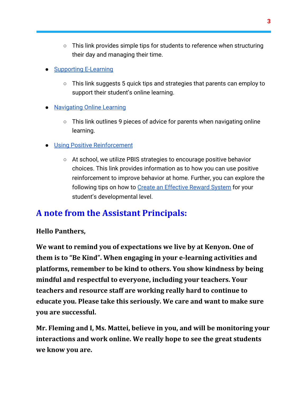- This link provides simple tips for students to reference when structuring their day and managing their time.
- [Supporting E-Learning](https://blog.edmentum.com/back-virtual-school-5-things-parents-can-do-support-students-virtual-courses)
	- This link suggests 5 quick tips and strategies that parents can employ to support their student's online learning.
- [Navigating Online Learning](https://www.theladders.com/career-advice/tips-for-parents-online-learning-with-children)
	- This link outlines 9 pieces of advice for parents when navigating online learning.
- [Using Positive Reinforcement](https://www.verywellfamily.com/positive-reinforcement-child-behavior-1094889)
	- At school, we utilize PBIS strategies to encourage positive behavior choices. This link provides information as to how you can use positive reinforcement to improve behavior at home. Further, you can explore the following tips on how to [Create an Effective Reward System](https://www.verywellfamily.com/how-to-create-a-reward-system-for-kids-that-works-1094752) for your student's developmental level.

### **A note from the Assistant Principals:**

#### **Hello Panthers,**

**We want to remind you of expectations we live by at Kenyon. One of them is to "Be Kind". When engaging in your e-learning activities and platforms, remember to be kind to others. You show kindness by being mindful and respectful to everyone, including your teachers. Your teachers and resource staff are working really hard to continue to educate you. Please take this seriously. We care and want to make sure you are successful.**

**Mr. Fleming and I, Ms. Mattei, believe in you, and will be monitoring your interactions and work online. We really hope to see the great students we know you are.**